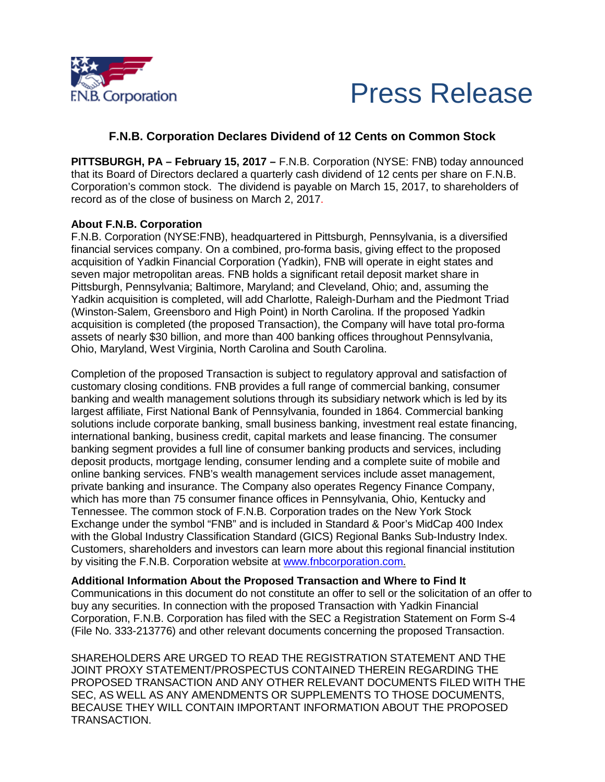



## **F.N.B. Corporation Declares Dividend of 12 Cents on Common Stock**

**PITTSBURGH, PA – February 15, 2017 –** F.N.B. Corporation (NYSE: FNB) today announced that its Board of Directors declared a quarterly cash dividend of 12 cents per share on F.N.B. Corporation's common stock. The dividend is payable on March 15, 2017, to shareholders of record as of the close of business on March 2, 2017.

## **About F.N.B. Corporation**

F.N.B. Corporation (NYSE:FNB), headquartered in Pittsburgh, Pennsylvania, is a diversified financial services company. On a combined, pro-forma basis, giving effect to the proposed acquisition of Yadkin Financial Corporation (Yadkin), FNB will operate in eight states and seven major metropolitan areas. FNB holds a significant retail deposit market share in Pittsburgh, Pennsylvania; Baltimore, Maryland; and Cleveland, Ohio; and, assuming the Yadkin acquisition is completed, will add Charlotte, Raleigh-Durham and the Piedmont Triad (Winston-Salem, Greensboro and High Point) in North Carolina. If the proposed Yadkin acquisition is completed (the proposed Transaction), the Company will have total pro-forma assets of nearly \$30 billion, and more than 400 banking offices throughout Pennsylvania, Ohio, Maryland, West Virginia, North Carolina and South Carolina.

Completion of the proposed Transaction is subject to regulatory approval and satisfaction of customary closing conditions. FNB provides a full range of commercial banking, consumer banking and wealth management solutions through its subsidiary network which is led by its largest affiliate, First National Bank of Pennsylvania, founded in 1864. Commercial banking solutions include corporate banking, small business banking, investment real estate financing, international banking, business credit, capital markets and lease financing. The consumer banking segment provides a full line of consumer banking products and services, including deposit products, mortgage lending, consumer lending and a complete suite of mobile and online banking services. FNB's wealth management services include asset management, private banking and insurance. The Company also operates Regency Finance Company, which has more than 75 consumer finance offices in Pennsylvania, Ohio, Kentucky and Tennessee. The common stock of F.N.B. Corporation trades on the New York Stock Exchange under the symbol "FNB" and is included in Standard & Poor's MidCap 400 Index with the Global Industry Classification Standard (GICS) Regional Banks Sub-Industry Index. Customers, shareholders and investors can learn more about this regional financial institution by visiting the F.N.B. Corporation website at [www.fnbcorporation.com.](https://www.fnb-online.com/about-us)

**Additional Information About the Proposed Transaction and Where to Find It**  Communications in this document do not constitute an offer to sell or the solicitation of an offer to buy any securities. In connection with the proposed Transaction with Yadkin Financial Corporation, F.N.B. Corporation has filed with the SEC a Registration Statement on Form S-4 (File No. 333-213776) and other relevant documents concerning the proposed Transaction.

SHAREHOLDERS ARE URGED TO READ THE REGISTRATION STATEMENT AND THE JOINT PROXY STATEMENT/PROSPECTUS CONTAINED THEREIN REGARDING THE PROPOSED TRANSACTION AND ANY OTHER RELEVANT DOCUMENTS FILED WITH THE SEC, AS WELL AS ANY AMENDMENTS OR SUPPLEMENTS TO THOSE DOCUMENTS, BECAUSE THEY WILL CONTAIN IMPORTANT INFORMATION ABOUT THE PROPOSED TRANSACTION.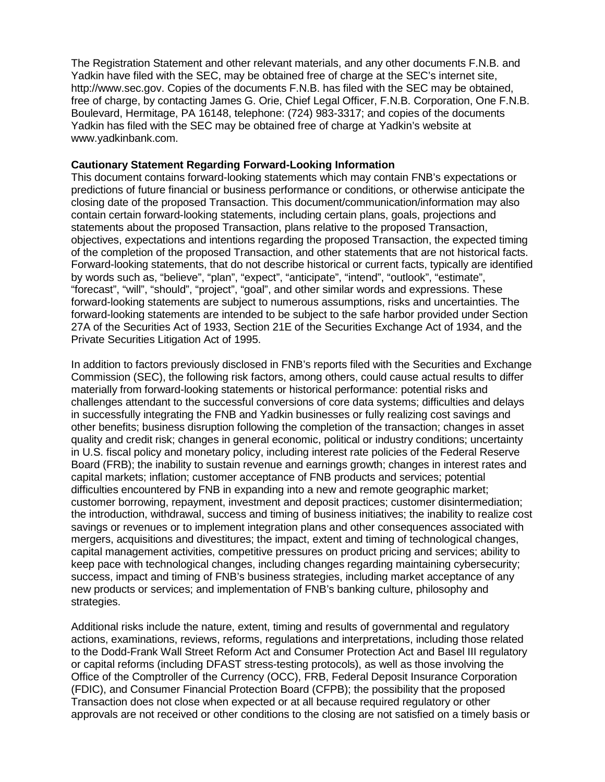The Registration Statement and other relevant materials, and any other documents F.N.B. and Yadkin have filed with the SEC, may be obtained free of charge at the SEC's internet site, http://www.sec.gov. Copies of the documents F.N.B. has filed with the SEC may be obtained, free of charge, by contacting James G. Orie, Chief Legal Officer, F.N.B. Corporation, One F.N.B. Boulevard, Hermitage, PA 16148, telephone: (724) 983-3317; and copies of the documents Yadkin has filed with the SEC may be obtained free of charge at Yadkin's website at www.yadkinbank.com.

## **Cautionary Statement Regarding Forward-Looking Information**

This document contains forward-looking statements which may contain FNB's expectations or predictions of future financial or business performance or conditions, or otherwise anticipate the closing date of the proposed Transaction. This document/communication/information may also contain certain forward-looking statements, including certain plans, goals, projections and statements about the proposed Transaction, plans relative to the proposed Transaction, objectives, expectations and intentions regarding the proposed Transaction, the expected timing of the completion of the proposed Transaction, and other statements that are not historical facts. Forward-looking statements, that do not describe historical or current facts, typically are identified by words such as, "believe", "plan", "expect", "anticipate", "intend", "outlook", "estimate", "forecast", "will", "should", "project", "goal", and other similar words and expressions. These forward-looking statements are subject to numerous assumptions, risks and uncertainties. The forward-looking statements are intended to be subject to the safe harbor provided under Section 27A of the Securities Act of 1933, Section 21E of the Securities Exchange Act of 1934, and the Private Securities Litigation Act of 1995.

In addition to factors previously disclosed in FNB's reports filed with the Securities and Exchange Commission (SEC), the following risk factors, among others, could cause actual results to differ materially from forward-looking statements or historical performance: potential risks and challenges attendant to the successful conversions of core data systems; difficulties and delays in successfully integrating the FNB and Yadkin businesses or fully realizing cost savings and other benefits; business disruption following the completion of the transaction; changes in asset quality and credit risk; changes in general economic, political or industry conditions; uncertainty in U.S. fiscal policy and monetary policy, including interest rate policies of the Federal Reserve Board (FRB); the inability to sustain revenue and earnings growth; changes in interest rates and capital markets; inflation; customer acceptance of FNB products and services; potential difficulties encountered by FNB in expanding into a new and remote geographic market; customer borrowing, repayment, investment and deposit practices; customer disintermediation; the introduction, withdrawal, success and timing of business initiatives; the inability to realize cost savings or revenues or to implement integration plans and other consequences associated with mergers, acquisitions and divestitures; the impact, extent and timing of technological changes, capital management activities, competitive pressures on product pricing and services; ability to keep pace with technological changes, including changes regarding maintaining cybersecurity; success, impact and timing of FNB's business strategies, including market acceptance of any new products or services; and implementation of FNB's banking culture, philosophy and strategies.

Additional risks include the nature, extent, timing and results of governmental and regulatory actions, examinations, reviews, reforms, regulations and interpretations, including those related to the Dodd-Frank Wall Street Reform Act and Consumer Protection Act and Basel III regulatory or capital reforms (including DFAST stress-testing protocols), as well as those involving the Office of the Comptroller of the Currency (OCC), FRB, Federal Deposit Insurance Corporation (FDIC), and Consumer Financial Protection Board (CFPB); the possibility that the proposed Transaction does not close when expected or at all because required regulatory or other approvals are not received or other conditions to the closing are not satisfied on a timely basis or